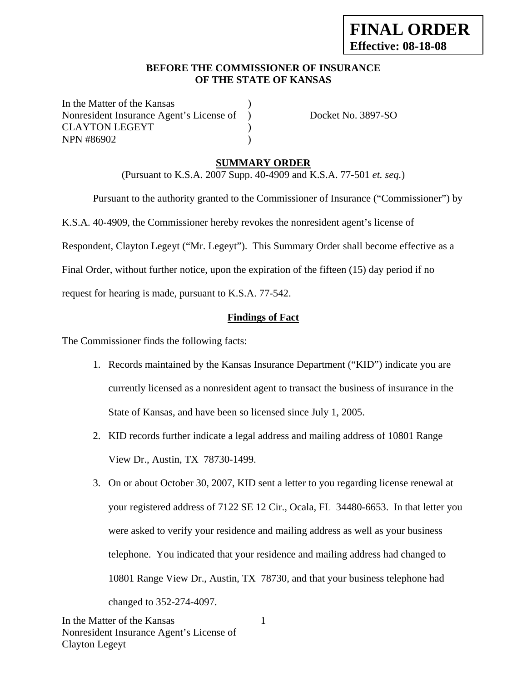#### **BEFORE THE COMMISSIONER OF INSURANCE OF THE STATE OF KANSAS**

In the Matter of the Kansas Nonresident Insurance Agent's License of ) Docket No. 3897-SO CLAYTON LEGEYT (2002) NPN #86902 (a)

### **SUMMARY ORDER**

(Pursuant to K.S.A. 2007 Supp. 40-4909 and K.S.A. 77-501 *et. seq.*)

 Pursuant to the authority granted to the Commissioner of Insurance ("Commissioner") by K.S.A. 40-4909, the Commissioner hereby revokes the nonresident agent's license of Respondent, Clayton Legeyt ("Mr. Legeyt"). This Summary Order shall become effective as a Final Order, without further notice, upon the expiration of the fifteen (15) day period if no request for hearing is made, pursuant to K.S.A. 77-542.

## **Findings of Fact**

The Commissioner finds the following facts:

- 1. Records maintained by the Kansas Insurance Department ("KID") indicate you are currently licensed as a nonresident agent to transact the business of insurance in the State of Kansas, and have been so licensed since July 1, 2005.
- 2. KID records further indicate a legal address and mailing address of 10801 Range View Dr., Austin, TX 78730-1499.
- 3. On or about October 30, 2007, KID sent a letter to you regarding license renewal at your registered address of 7122 SE 12 Cir., Ocala, FL 34480-6653. In that letter you were asked to verify your residence and mailing address as well as your business telephone. You indicated that your residence and mailing address had changed to 10801 Range View Dr., Austin, TX 78730, and that your business telephone had changed to 352-274-4097.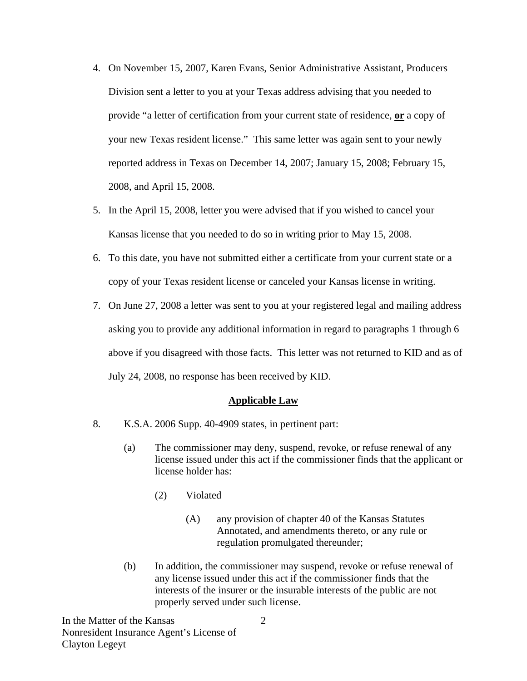- 4. On November 15, 2007, Karen Evans, Senior Administrative Assistant, Producers Division sent a letter to you at your Texas address advising that you needed to provide "a letter of certification from your current state of residence, **or** a copy of your new Texas resident license." This same letter was again sent to your newly reported address in Texas on December 14, 2007; January 15, 2008; February 15, 2008, and April 15, 2008.
- 5. In the April 15, 2008, letter you were advised that if you wished to cancel your Kansas license that you needed to do so in writing prior to May 15, 2008.
- 6. To this date, you have not submitted either a certificate from your current state or a copy of your Texas resident license or canceled your Kansas license in writing.
- 7. On June 27, 2008 a letter was sent to you at your registered legal and mailing address asking you to provide any additional information in regard to paragraphs 1 through 6 above if you disagreed with those facts. This letter was not returned to KID and as of July 24, 2008, no response has been received by KID.

#### **Applicable Law**

- 8. K.S.A. 2006 Supp. 40-4909 states, in pertinent part:
	- (a) The commissioner may deny, suspend, revoke, or refuse renewal of any license issued under this act if the commissioner finds that the applicant or license holder has:
		- (2) Violated
			- (A) any provision of chapter 40 of the Kansas Statutes Annotated, and amendments thereto, or any rule or regulation promulgated thereunder;
	- (b) In addition, the commissioner may suspend, revoke or refuse renewal of any license issued under this act if the commissioner finds that the interests of the insurer or the insurable interests of the public are not properly served under such license.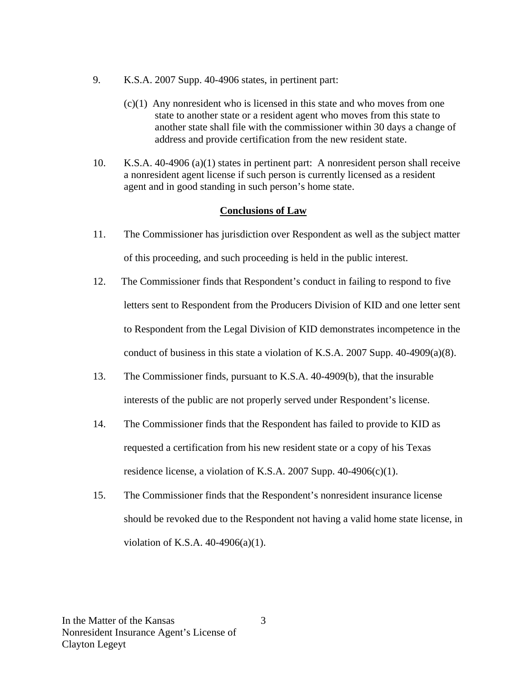- 9. K.S.A. 2007 Supp. 40-4906 states, in pertinent part:
	- (c)(1) Any nonresident who is licensed in this state and who moves from one state to another state or a resident agent who moves from this state to another state shall file with the commissioner within 30 days a change of address and provide certification from the new resident state.
- 10. K.S.A. 40-4906 (a)(1) states in pertinent part: A nonresident person shall receive a nonresident agent license if such person is currently licensed as a resident agent and in good standing in such person's home state.

#### **Conclusions of Law**

- 11. The Commissioner has jurisdiction over Respondent as well as the subject matter of this proceeding, and such proceeding is held in the public interest.
- 12. The Commissioner finds that Respondent's conduct in failing to respond to five letters sent to Respondent from the Producers Division of KID and one letter sent to Respondent from the Legal Division of KID demonstrates incompetence in the conduct of business in this state a violation of K.S.A. 2007 Supp. 40-4909(a)(8).
- 13. The Commissioner finds, pursuant to K.S.A. 40-4909(b), that the insurable interests of the public are not properly served under Respondent's license.
- 14. The Commissioner finds that the Respondent has failed to provide to KID as requested a certification from his new resident state or a copy of his Texas residence license, a violation of K.S.A. 2007 Supp.  $40-4906(c)(1)$ .
- 15. The Commissioner finds that the Respondent's nonresident insurance license should be revoked due to the Respondent not having a valid home state license, in violation of K.S.A. 40-4906(a)(1).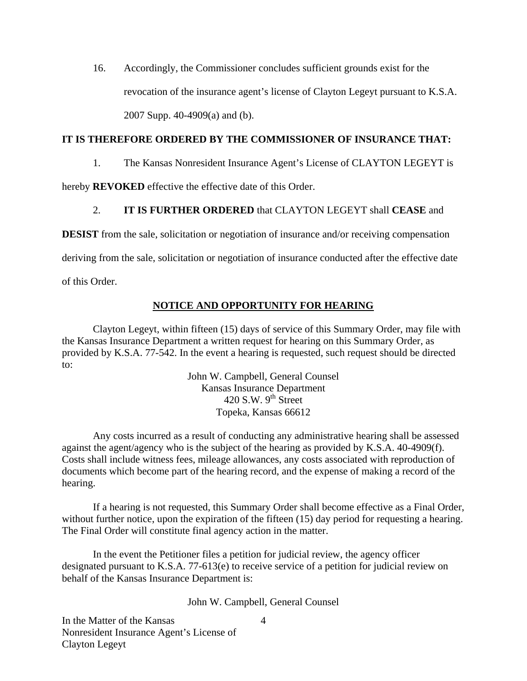16. Accordingly, the Commissioner concludes sufficient grounds exist for the revocation of the insurance agent's license of Clayton Legeyt pursuant to K.S.A. 2007 Supp. 40-4909(a) and (b).

### **IT IS THEREFORE ORDERED BY THE COMMISSIONER OF INSURANCE THAT:**

1. The Kansas Nonresident Insurance Agent's License of CLAYTON LEGEYT is

hereby **REVOKED** effective the effective date of this Order.

### 2. **IT IS FURTHER ORDERED** that CLAYTON LEGEYT shall **CEASE** and

**DESIST** from the sale, solicitation or negotiation of insurance and/or receiving compensation

deriving from the sale, solicitation or negotiation of insurance conducted after the effective date

of this Order.

### **NOTICE AND OPPORTUNITY FOR HEARING**

Clayton Legeyt, within fifteen (15) days of service of this Summary Order, may file with the Kansas Insurance Department a written request for hearing on this Summary Order, as provided by K.S.A. 77-542. In the event a hearing is requested, such request should be directed to:

> John W. Campbell, General Counsel Kansas Insurance Department 420 S.W.  $9^{th}$  Street Topeka, Kansas 66612

Any costs incurred as a result of conducting any administrative hearing shall be assessed against the agent/agency who is the subject of the hearing as provided by K.S.A. 40-4909(f). Costs shall include witness fees, mileage allowances, any costs associated with reproduction of documents which become part of the hearing record, and the expense of making a record of the hearing.

If a hearing is not requested, this Summary Order shall become effective as a Final Order, without further notice, upon the expiration of the fifteen (15) day period for requesting a hearing. The Final Order will constitute final agency action in the matter.

In the event the Petitioner files a petition for judicial review, the agency officer designated pursuant to K.S.A. 77-613(e) to receive service of a petition for judicial review on behalf of the Kansas Insurance Department is:

John W. Campbell, General Counsel

4

In the Matter of the Kansas Nonresident Insurance Agent's License of Clayton Legeyt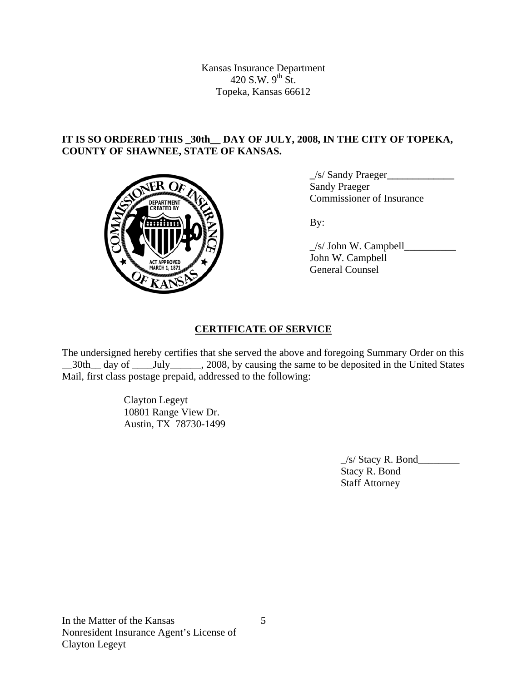Kansas Insurance Department 420 S.W.  $9^{th}$  St. Topeka, Kansas 66612

## **IT IS SO ORDERED THIS \_30th\_\_ DAY OF JULY, 2008, IN THE CITY OF TOPEKA, COUNTY OF SHAWNEE, STATE OF KANSAS.**



 **\_**/s/ Sandy Praeger**\_\_\_\_\_\_\_\_\_\_\_\_\_** Sandy Praeger DEPARTMENT VON COmmissioner of Insurance

 $\angle$ s/ John W. Campbell John W. Campbell General Counsel

## **CERTIFICATE OF SERVICE**

The undersigned hereby certifies that she served the above and foregoing Summary Order on this \_30th\_ day of \_\_\_\_\_July\_\_\_\_\_\_, 2008, by causing the same to be deposited in the United States Mail, first class postage prepaid, addressed to the following:

> Clayton Legeyt 10801 Range View Dr. Austin, TX 78730-1499

> > $\angle$ s/ Stacy R. Bond $\angle$  Stacy R. Bond Staff Attorney

5